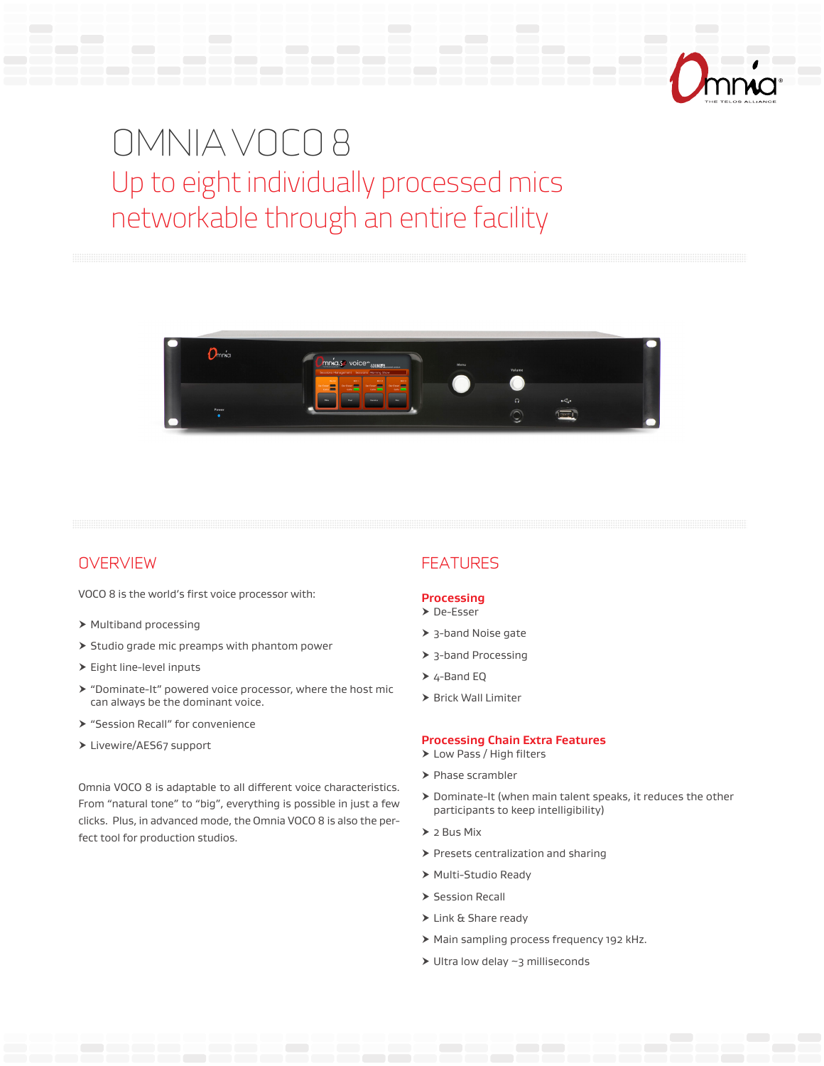

# OMNIA VOCO 8 Up to eight individually processed mics networkable through an entire facility



# **OVERVIEW**

VOCO 8 is the world's first voice processor with:

- $\triangleright$  Multiband processing
- $\triangleright$  Studio grade mic preamps with phantom power
- $\blacktriangleright$  Eight line-level inputs
- $\triangleright$  "Dominate-It" powered voice processor, where the host mic can always be the dominant voice.
- **> "Session Recall" for convenience**
- > Livewire/AES67 support

Omnia VOCO 8 is adaptable to all different voice characteristics. From "natural tone" to "big", everything is possible in just a few clicks. Plus, in advanced mode, the Omnia VOCO 8 is also the perfect tool for production studios.

# FEATURES

#### **Processing**

- h De-Esser
- $\geq$  3-band Noise gate
- $\blacktriangleright$  3-band Processing
- $\triangleright$  4-Band EQ
- $\triangleright$  Brick Wall Limiter

#### **Processing Chain Extra Features**

- > Low Pass / High filters
- $\blacktriangleright$  Phase scrambler
- $\triangleright$  Dominate-It (when main talent speaks, it reduces the other participants to keep intelligibility)
- $\geq 2$  Bus Mix
- $\triangleright$  Presets centralization and sharing
- ▶ Multi-Studio Ready
- $\triangleright$  Session Recall
- $\blacktriangleright$  Link & Share ready
- > Main sampling process frequency 192 kHz.
- $\blacktriangleright$  Ultra low delay ~3 milliseconds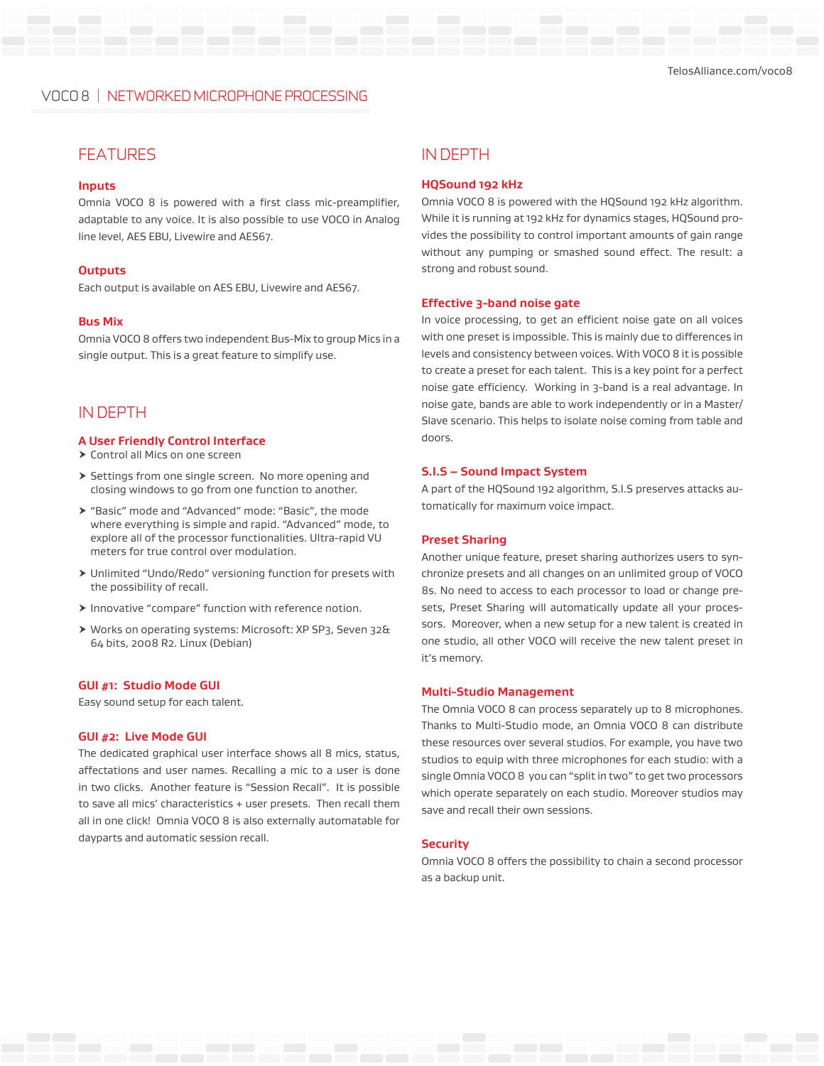# VOCO 8 | NETWORKED MICROPHONE PROCESSING

# FEATURES IN DEPTH

#### **Inputs**

Omnia VOCO 8 is powered with a first class mic-preamplifier, adaptable to any voice. It is also possible to use VOCO in Analog line level, AES EBU, Livewire and AES67.

#### **Outputs**

Each output is available on AES EBU, Livewire and AES67.

#### **Bus Mix**

Omnia VOCO 8 offers two independent Bus-Mix to group Mics in a single output. This is a great feature to simplify use.

### IN DEPTH

#### **A User Friendly Control Interface**

- $\triangleright$  Control all Mics on one screen
- $\triangleright$  Settings from one single screen. No more opening and closing windows to go from one function to another.
- h "Basic" mode and "Advanced" mode: "Basic", the mode where everything is simple and rapid. "Advanced" mode, to explore all of the processor functionalities. Ultra-rapid VU meters for true control over modulation.
- h Unlimited "Undo/Redo" versioning function for presets with the possibility of recall.
- $\blacktriangleright$  Innovative "compare" function with reference notion.
- h Works on operating systems: Microsoft: XP SP3, Seven 32& 64 bits, 2008 R2. Linux (Debian)

#### **GUI #1: Studio Mode GUI**

Easy sound setup for each talent.

#### **GUI #2: Live Mode GUI**

The dedicated graphical user interface shows all 8 mics, status, affectations and user names. Recalling a mic to a user is done in two clicks. Another feature is "Session Recall". It is possible to save all mics' characteristics + user presets. Then recall them all in one click! Omnia VOCO 8 is also externally automatable for dayparts and automatic session recall.

#### **HQSound 192 kHz**

Omnia VOCO 8 is powered with the HQSound 192 kHz algorithm. While it is running at 192 kHz for dynamics stages, HQSound provides the possibility to control important amounts of gain range without any pumping or smashed sound effect. The result: a strong and robust sound.

#### **Effective 3-band noise gate**

In voice processing, to get an efficient noise gate on all voices with one preset is impossible. This is mainly due to differences in levels and consistency between voices. With VOCO 8 it is possible to create a preset for each talent. This is a key point for a perfect noise gate efficiency. Working in 3-band is a real advantage. In noise gate, bands are able to work independently or in a Master/ Slave scenario. This helps to isolate noise coming from table and doors.

#### **S.I.S – Sound Impact System**

A part of the HQSound 192 algorithm, S.I.S preserves attacks automatically for maximum voice impact.

#### **Preset Sharing**

Another unique feature, preset sharing authorizes users to synchronize presets and all changes on an unlimited group of VOCO 8s. No need to access to each processor to load or change presets, Preset Sharing will automatically update all your processors. Moreover, when a new setup for a new talent is created in one studio, all other VOCO will receive the new talent preset in it's memory.

#### **Multi-Studio Management**

The Omnia VOCO 8 can process separately up to 8 microphones. Thanks to Multi-Studio mode, an Omnia VOCO 8 can distribute these resources over several studios. For example, you have two studios to equip with three microphones for each studio: with a single Omnia VOCO 8 you can "split in two" to get two processors which operate separately on each studio. Moreover studios may save and recall their own sessions.

#### **Security**

Omnia VOCO 8 offers the possibility to chain a second processor as a backup unit.